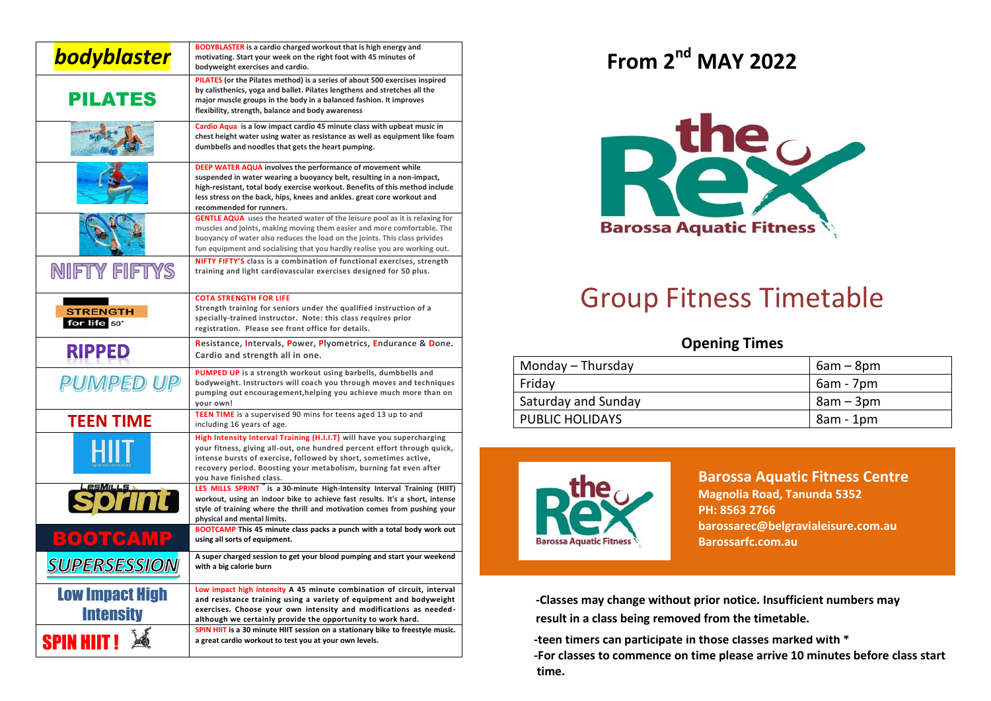| <b>bodyblaster</b>                               | <b>BODYBLASTER</b> is a cardio charged workout that is high energy and<br>motivating. Start your week on the right foot with 45 minutes of<br>bodyweight exercises and cardio.                                                                                                                                              |  |  |  |  |
|--------------------------------------------------|-----------------------------------------------------------------------------------------------------------------------------------------------------------------------------------------------------------------------------------------------------------------------------------------------------------------------------|--|--|--|--|
| <b>PILATES</b>                                   | PILATES (or the Pilates method) is a series of about 500 exercises inspired<br>by calisthenics, yoga and ballet. Pilates lengthens and stretches all the<br>major muscle groups in the body in a balanced fashion. It improves<br>flexibility, strength, balance and body awareness                                         |  |  |  |  |
|                                                  | Cardio Aqua is a low impact cardio 45 minute class with upbeat music in<br>chest height water using water as resistance as well as equipment like foam<br>dumbbells and noodles that gets the heart pumping.                                                                                                                |  |  |  |  |
|                                                  | DEEP WATER AQUA involves the performance of movement while<br>suspended in water wearing a buoyancy belt, resulting in a non-impact,<br>high-resistant, total body exercise workout. Benefits of this method include<br>less stress on the back, hips, knees and ankles. great core workout and<br>recommended for runners. |  |  |  |  |
|                                                  | <b>GENTLE AQUA</b> uses the heated water of the leisure pool as it is relaxing for<br>muscles and joints, making moving them easier and more comfortable. The<br>buoyancy of water also reduces the load on the joints. This class privides<br>fun equipment and socialising that you hardly realise you are working out.   |  |  |  |  |
| <b>NIFTY FIFTYS</b>                              | NIFTY FIFTY'S class is a combination of functional exercises, strength<br>training and light cardiovascular exercises designed for 50 plus.                                                                                                                                                                                 |  |  |  |  |
| <b>STRENGTH</b><br>for life 50*                  | <b>COTA STRENGTH FOR LIFE</b><br>Strength training for seniors under the qualified instruction of a<br>specially-trained instructor. Note: this class requires prior<br>registration. Please see front office for details.                                                                                                  |  |  |  |  |
| <b>RIPPED</b>                                    | Resistance, Intervals, Power, Plyometrics, Endurance & Done.<br>Cardio and strength all in one.                                                                                                                                                                                                                             |  |  |  |  |
| PUMPED UP                                        | PUMPED UP is a strength workout using barbells, dumbbells and<br>bodyweight. Instructors will coach you through moves and techniques<br>pumping out encouragement, helping you achieve much more than on<br>your own!                                                                                                       |  |  |  |  |
| <b>TEEN TIME</b>                                 | TEEN TIME is a supervised 90 mins for teens aged 13 up to and<br>including 16 years of age.                                                                                                                                                                                                                                 |  |  |  |  |
|                                                  | High Intensity Interval Training (H.I.I.T) will have you supercharging<br>your fitness, giving all-out, one hundred percent effort through quick,<br>intense bursts of exercise, followed by short, sometimes active,<br>recovery period. Boosting your metabolism, burning fat even after<br>you have finished class.      |  |  |  |  |
|                                                  | LES MILLS SPRINT is a 30-minute High-Intensity Interval Training (HIIT)<br>workout, using an indoor bike to achieve fast results. It's a short, intense<br>style of training where the thrill and motivation comes from pushing your<br>physical and mental limits.                                                         |  |  |  |  |
| $\equiv$ (0) of $\sim$ (0) $\equiv$ (0) $\equiv$ | <b>BOOTCAMP</b> This 45 minute class packs a punch with a total body work out<br>using all sorts of equipment.                                                                                                                                                                                                              |  |  |  |  |
| <b>SUPERSESSION</b>                              | A super charged session to get your blood pumping and start your weekend<br>with a big calorie burn                                                                                                                                                                                                                         |  |  |  |  |
| <b>Low Impact High</b>                           | Low impact high intensity A 45 minute combination of circuit, interval<br>and resistance training using a variety of equipment and bodyweight                                                                                                                                                                               |  |  |  |  |
| <b>Intensity</b>                                 | exercises. Choose your own intensity and modifications as needed-<br>although we certainly provide the opportunity to work hard.                                                                                                                                                                                            |  |  |  |  |
| <b>SPIN HIIT!</b>                                | SPIN HIIT is a 30 minute HIIT session on a stationary bike to freestyle music.<br>a great cardio workout to test you at your own levels.                                                                                                                                                                                    |  |  |  |  |

## **From 2 nd MAY 2022**



## Group Fitness Timetable

## **Opening Times**

| Monday – Thursday      | $6am - 8pm$ |
|------------------------|-------------|
| Friday                 | 6am - 7pm   |
| Saturday and Sunday    | 8am – 3pm   |
| <b>PUBLIC HOLIDAYS</b> | 8am - 1pm   |
|                        |             |



## **Barossa Aquatic Fitness Centre Magnolia Road, Tanunda 5352 PH: 8563 2766 barossarec@belgravialeisure.com.au Barossarfc.com.au**

**-Classes may change without prior notice. Insufficient numbers may result in a class being removed from the timetable.**

 **-teen timers can participate in those classes marked with \***

 **-For classes to commence on time please arrive 10 minutes before class start time.**